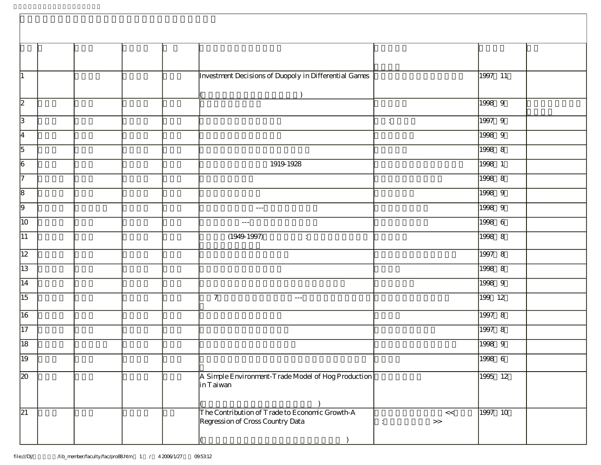|                                                                                                                                       | 1997 11         |
|---------------------------------------------------------------------------------------------------------------------------------------|-----------------|
|                                                                                                                                       |                 |
| Investment Decisions of Duopoly in Differential Games<br>$\vert$ 1                                                                    |                 |
|                                                                                                                                       |                 |
| $\overline{2}$                                                                                                                        | $1998$ 9        |
| $\sqrt{3}$<br>$\mathcal{L}^{\mathcal{L}}$                                                                                             | 1997 9          |
| $\overline{4}$                                                                                                                        | 1998 9          |
| $\overline{5}$                                                                                                                        | 1998 8          |
| $\overline{6}$<br>1919-1928                                                                                                           | 1998 1          |
| $\overline{7}$                                                                                                                        | 1998 8          |
| $\sqrt{8}$                                                                                                                            | 1998 9          |
| $\overline{9}$<br>$\sim$ $\sim$ $\sim$                                                                                                | 1998 9          |
| 10<br>$\sim$ $\sim$ $\sim$                                                                                                            | 1998 6          |
| 11 <br>(1949.1997)<br>$\overline{\mathbb{Z}_2}$                                                                                       | 1998 8          |
| 12                                                                                                                                    | 1997 8          |
| 13                                                                                                                                    | 1998 8          |
| 14                                                                                                                                    | 1998 9          |
| $\overline{15}$<br>$\mathcal{I}$<br>$\sim$ $\sim$ $\sim$                                                                              | 199 12          |
| 16                                                                                                                                    | 1997 8          |
| $\overline{17}$                                                                                                                       | 1997 8          |
| 18                                                                                                                                    | 1998 9          |
| $\sqrt{19}$                                                                                                                           | $1998$ 6        |
| A Simple Environment-Trade Model of Hog Production<br>$\overline{20}$<br>in Taiwan                                                    | 1995 12         |
|                                                                                                                                       |                 |
| The Contribution of Trade to Economic Growth-A<br>$\overline{21}$<br>Regression of Cross Country Data<br>$\,$<br>$\ddot{\phantom{a}}$ | 1997 10<br>$<<$ |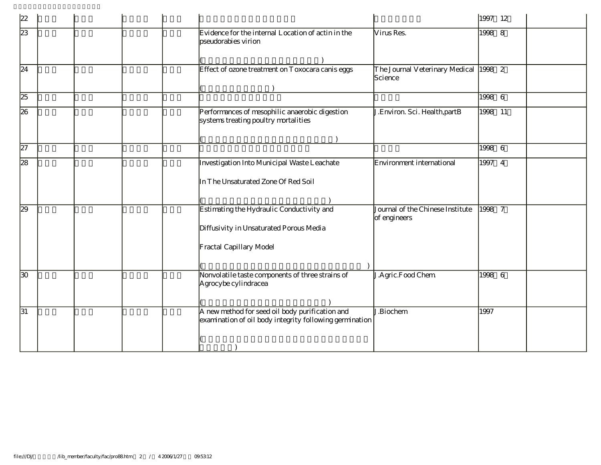| 22              |                                                                                                                 |                                                  | 1997 12 |
|-----------------|-----------------------------------------------------------------------------------------------------------------|--------------------------------------------------|---------|
| 23              | Evidence for the internal Location of actin in the<br>pseudorabies virion                                       | Virus Res.                                       | 1998 8  |
| $\overline{24}$ | Effect of ozone treatment on Toxocara canis eggs                                                                | The Journal Veterinary Medical<br>Science        | 1998 2  |
| 25              |                                                                                                                 |                                                  | 1998 6  |
| 26              | Performances of mesophilic anaerobic digestion<br>systems treating poultry mortalities                          | J.Environ. Sci. Health, partB                    | 1998 11 |
|                 |                                                                                                                 |                                                  |         |
| 27              |                                                                                                                 |                                                  | 1998 6  |
| 28              | Investigation Into Municipal Waste Leachate<br>In The Unsaturated Zone Of Red Soil                              | Environment international                        | 1997 4  |
| 29              | Estimating the Hydraulic Conductivity and<br>Diffusivity in Unsaturated Porous Media<br>Fractal Capillary Model | Journal of the Chinese Institute<br>of engineers | 1998 7  |
| $\overline{30}$ | Nonvolatile taste components of three strains of<br>Agrocybe cylindracea                                        | J.Agric.Food Chem                                | 1998 6  |
| $\overline{31}$ | A new method for seed oil body purification and<br>examination of oil body integrity following germination      | J.Biochem                                        | 1997    |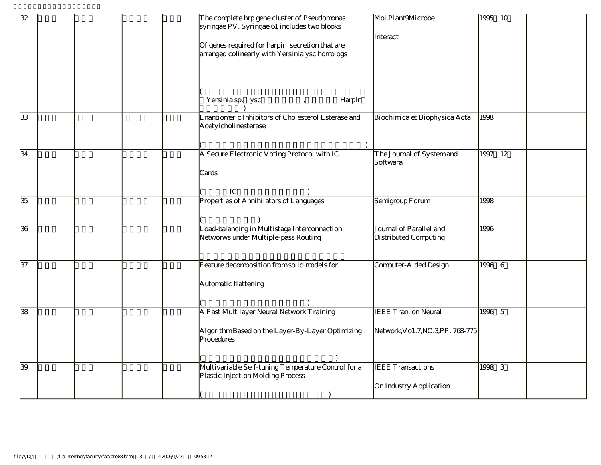| 32 | The complete hrp gene cluster of Pseudomonas<br>syringae PV. Syringae 61 includes two blooks<br>Of genes required for harpin secretion that are<br>arranged colinearly with Yersinia ysc homologs<br>Yersinia sp. ysc<br>Harpln | Mol.Plant9Microbe<br>Interact                                    | 1995 10 |
|----|---------------------------------------------------------------------------------------------------------------------------------------------------------------------------------------------------------------------------------|------------------------------------------------------------------|---------|
| 33 | Enantiomeric Inhibitors of Cholesterol Esterase and<br>Acetylcholinesterase                                                                                                                                                     | Biochimica et Biophysica Acta                                    | 1998    |
| 34 | A Secure Electronic Voting Protocol with IC<br>Cards<br>${\rm IC}$                                                                                                                                                              | The Journal of System and<br>Softwara                            | 1997 12 |
| 35 | Properties of Annihilators of Languages                                                                                                                                                                                         | Semigroup Forum                                                  | 1998    |
| 36 | Load-balancing in Multistage Interconnection<br>Networws under Multiple-pass Routing                                                                                                                                            | Journal of Parallel and<br>Distributed Computing                 | 1996    |
| 37 | Feature decomposition from solid models for<br>Automatic flattening                                                                                                                                                             | Computer-Aided Design                                            | 1996 6  |
| 38 | A Fast Multilayer Neural Network Training<br>Algorithm Based on the Layer-By-Layer Optimizing<br>Procedures                                                                                                                     | <b>IEEE Tran. on Neural</b><br>Network, Vo1.7, NO.3, PP. 768-775 | 1996 5  |
| 39 | Multivariable Self-tuning Temperature Control for a<br>Plastic Injection Molding Process                                                                                                                                        | <b>IEEE</b> Transactions<br>On Industry Application              | 1998 3  |